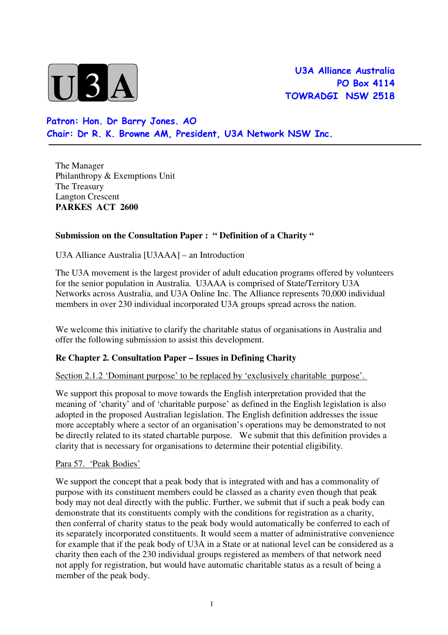

**U3A Alliance Australia**  PO Box 4114 TOWRADGI NSW 2518

 Patron: Hon. Dr Barry Jones. AO Chair: Dr R. K. Browne AM, President, U3A Network NSW Inc.

 The Manager Philanthropy & Exemptions Unit The Treasury Langton Crescent  **PARKES ACT 2600** 

# **Submission on the Consultation Paper : " Definition of a Charity "**

U3A Alliance Australia [U3AAA] – an Introduction

 The U3A movement is the largest provider of adult education programs offered by volunteers for the senior population in Australia. U3AAA is comprised of State/Territory U3A Networks across Australia, and U3A Online Inc. The Alliance represents 70,000 individual members in over 230 individual incorporated U3A groups spread across the nation.

 We welcome this initiative to clarify the charitable status of organisations in Australia and offer the following submission to assist this development.

## **Re Chapter 2. Consultation Paper – Issues in Defining Charity**

Section 2.1.2 'Dominant purpose' to be replaced by 'exclusively charitable purpose'.

 We support this proposal to move towards the English interpretation provided that the meaning of 'charity' and of 'charitable purpose' as defined in the English legislation is also adopted in the proposed Australian legislation. The English definition addresses the issue more acceptably where a sector of an organisation's operations may be demonstrated to not be directly related to its stated chartable purpose. We submit that this definition provides a clarity that is necessary for organisations to determine their potential eligibility.

#### Para 57. 'Peak Bodies'

 We support the concept that a peak body that is integrated with and has a commonality of purpose with its constituent members could be classed as a charity even though that peak body may not deal directly with the public. Further, we submit that if such a peak body can demonstrate that its constituents comply with the conditions for registration as a charity, then conferral of charity status to the peak body would automatically be conferred to each of its separately incorporated constituents. It would seem a matter of administrative convenience for example that if the peak body of U3A in a State or at national level can be considered as a charity then each of the 230 individual groups registered as members of that network need not apply for registration, but would have automatic charitable status as a result of being a member of the peak body.